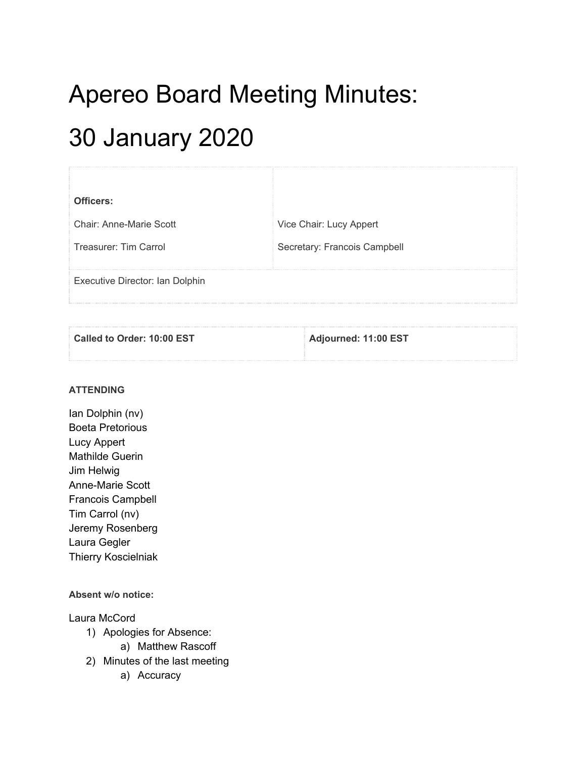# Apereo Board Meeting Minutes:

## 30 January 2020

| Officers:                       |                              |
|---------------------------------|------------------------------|
| Chair: Anne-Marie Scott         | Vice Chair: Lucy Appert      |
| Treasurer: Tim Carrol           | Secretary: Francois Campbell |
| Executive Director: Ian Dolphin |                              |

| Called to Order: 10:00 EST | Adjourned: 11:00 EST |
|----------------------------|----------------------|
|                            |                      |

#### **ATTENDING**

Ian Dolphin (nv) Boeta Pretorious Lucy Appert Mathilde Guerin Jim Helwig Anne-Marie Scott Francois Campbell Tim Carrol (nv) Jeremy Rosenberg Laura Gegler Thierry Koscielniak

#### **Absent w/o notice:**

#### Laura McCord

- 1) Apologies for Absence:
	- a) Matthew Rascoff
- 2) Minutes of the last meeting
	- a) Accuracy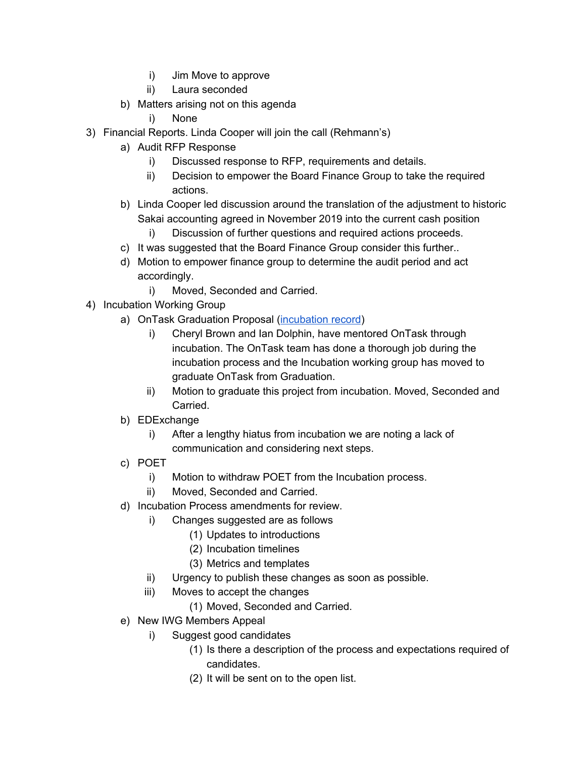- i) Jim Move to approve
- ii) Laura seconded
- b) Matters arising not on this agenda
	- i) None
- 3) Financial Reports. Linda Cooper will join the call (Rehmann's)
	- a) Audit RFP Response
		- i) Discussed response to RFP, requirements and details.
		- ii) Decision to empower the Board Finance Group to take the required actions.
	- b) Linda Cooper led discussion around the translation of the adjustment to historic Sakai accounting agreed in November 2019 into the current cash position
		- i) Discussion of further questions and required actions proceeds.
	- c) It was suggested that the Board Finance Group consider this further..
	- d) Motion to empower finance group to determine the audit period and act accordingly.
		- i) Moved, Seconded and Carried.
- 4) Incubation Working Group
	- a) OnTask Graduation Proposal [\(incubation](https://docs.google.com/document/d/1K9PArV67imeCis0vGIcWVYtdbTSQFUSOgK0QHW_bG_o/edit?usp=sharing) record)
		- i) Cheryl Brown and Ian Dolphin, have mentored OnTask through incubation. The OnTask team has done a thorough job during the incubation process and the Incubation working group has moved to graduate OnTask from Graduation.
		- ii) Motion to graduate this project from incubation. Moved, Seconded and Carried.
	- b) EDExchange
		- i) After a lengthy hiatus from incubation we are noting a lack of communication and considering next steps.
	- c) POET
		- i) Motion to withdraw POET from the Incubation process.
		- ii) Moved, Seconded and Carried.
	- d) Incubation Process amendments for review.
		- i) Changes suggested are as follows
			- (1) Updates to introductions
			- (2) Incubation timelines
			- (3) Metrics and templates
		- ii) Urgency to publish these changes as soon as possible.
		- iii) Moves to accept the changes
			- (1) Moved, Seconded and Carried.
	- e) New IWG Members Appeal
		- i) Suggest good candidates
			- (1) Is there a description of the process and expectations required of candidates.
			- (2) It will be sent on to the open list.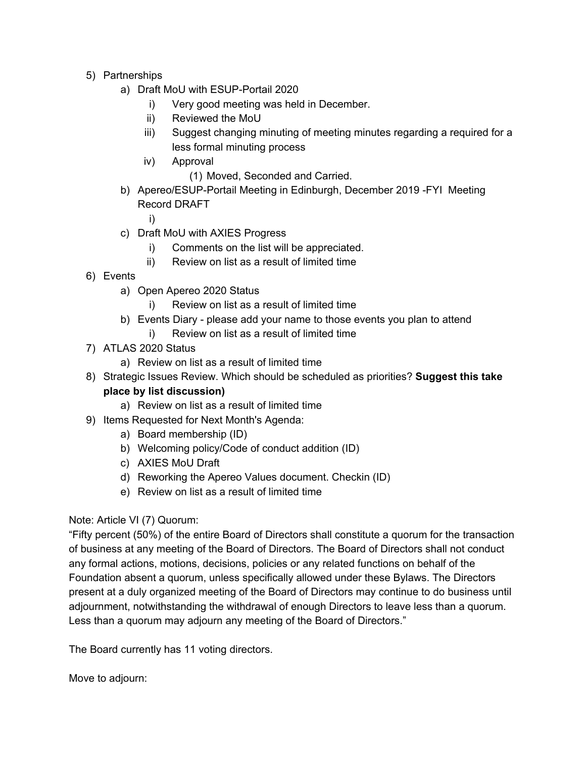- 5) Partnerships
	- a) Draft MoU with ESUP-Portail 2020
		- i) Very good meeting was held in December.
		- ii) Reviewed the MoU
		- iii) Suggest changing minuting of meeting minutes regarding a required for a less formal minuting process
		- iv) Approval
			- (1) Moved, Seconded and Carried.
	- b) Apereo/ESUP-Portail Meeting in Edinburgh, December 2019 -FYI Meeting Record DRAFT

i)

- c) Draft MoU with AXIES Progress
	- i) Comments on the list will be appreciated.
	- ii) Review on list as a result of limited time
- 6) Events
	- a) Open Apereo 2020 Status
		- i) Review on list as a result of limited time
	- b) Events Diary please add your name to those events you plan to attend
		- i) Review on list as a result of limited time
- 7) ATLAS 2020 Status
	- a) Review on list as a result of limited time
- 8) Strategic Issues Review. Which should be scheduled as priorities? **Suggest this take place by list discussion)**
	- a) Review on list as a result of limited time
- 9) Items Requested for Next Month's Agenda:
	- a) Board membership (ID)
	- b) Welcoming policy/Code of conduct addition (ID)
	- c) AXIES MoU Draft
	- d) Reworking the Apereo Values document. Checkin (ID)
	- e) Review on list as a result of limited time

### Note: Article VI (7) Quorum:

"Fifty percent (50%) of the entire Board of Directors shall constitute a quorum for the transaction of business at any meeting of the Board of Directors. The Board of Directors shall not conduct any formal actions, motions, decisions, policies or any related functions on behalf of the Foundation absent a quorum, unless specifically allowed under these Bylaws. The Directors present at a duly organized meeting of the Board of Directors may continue to do business until adjournment, notwithstanding the withdrawal of enough Directors to leave less than a quorum. Less than a quorum may adjourn any meeting of the Board of Directors."

The Board currently has 11 voting directors.

Move to adjourn: